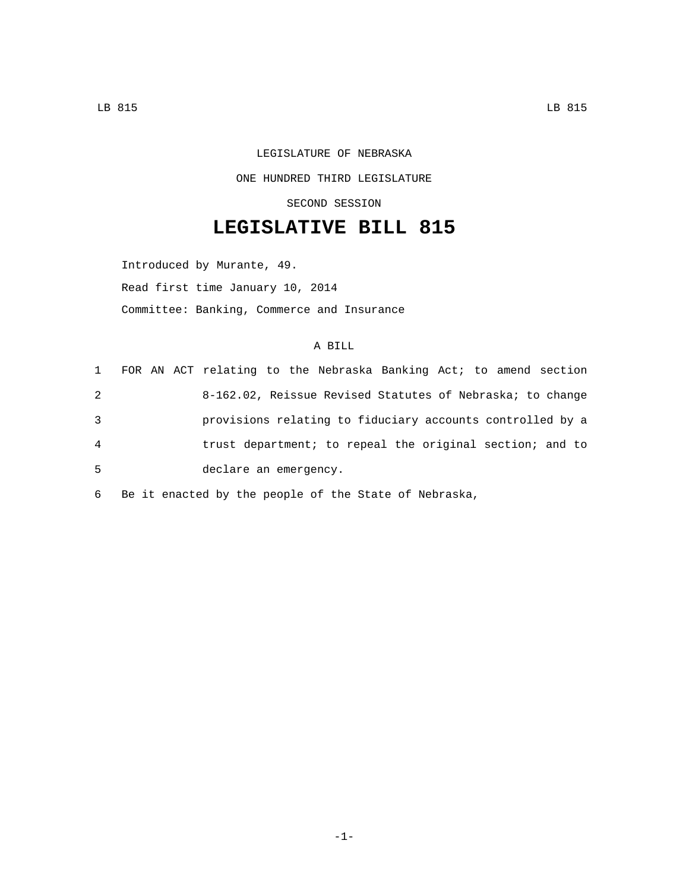## LEGISLATURE OF NEBRASKA ONE HUNDRED THIRD LEGISLATURE SECOND SESSION

## **LEGISLATIVE BILL 815**

Introduced by Murante, 49. Read first time January 10, 2014 Committee: Banking, Commerce and Insurance

## A BILL

|                | 1 FOR AN ACT relating to the Nebraska Banking Act; to amend section |
|----------------|---------------------------------------------------------------------|
| 2              | 8-162.02, Reissue Revised Statutes of Nebraska; to change           |
| 3              | provisions relating to fiduciary accounts controlled by a           |
| $\overline{4}$ | trust department; to repeal the original section; and to            |
| 5              | declare an emergency.                                               |

6 Be it enacted by the people of the State of Nebraska,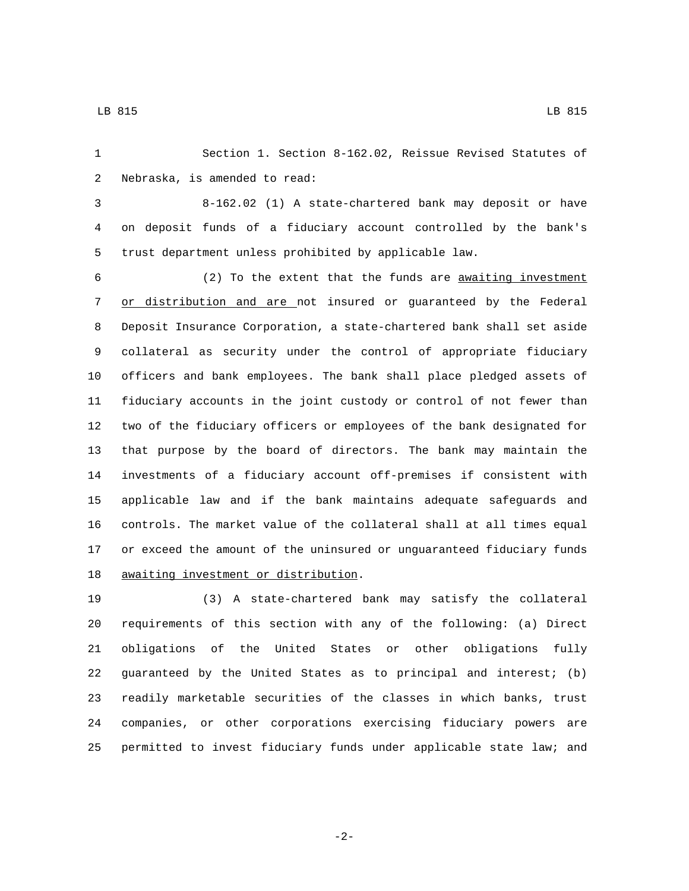Section 1. Section 8-162.02, Reissue Revised Statutes of

2 Nebraska, is amended to read:

 8-162.02 (1) A state-chartered bank may deposit or have on deposit funds of a fiduciary account controlled by the bank's trust department unless prohibited by applicable law.

 (2) To the extent that the funds are awaiting investment or distribution and are not insured or guaranteed by the Federal Deposit Insurance Corporation, a state-chartered bank shall set aside collateral as security under the control of appropriate fiduciary officers and bank employees. The bank shall place pledged assets of fiduciary accounts in the joint custody or control of not fewer than two of the fiduciary officers or employees of the bank designated for that purpose by the board of directors. The bank may maintain the investments of a fiduciary account off-premises if consistent with applicable law and if the bank maintains adequate safeguards and controls. The market value of the collateral shall at all times equal or exceed the amount of the uninsured or unguaranteed fiduciary funds 18 awaiting investment or distribution.

 (3) A state-chartered bank may satisfy the collateral requirements of this section with any of the following: (a) Direct obligations of the United States or other obligations fully guaranteed by the United States as to principal and interest; (b) readily marketable securities of the classes in which banks, trust companies, or other corporations exercising fiduciary powers are permitted to invest fiduciary funds under applicable state law; and

-2-